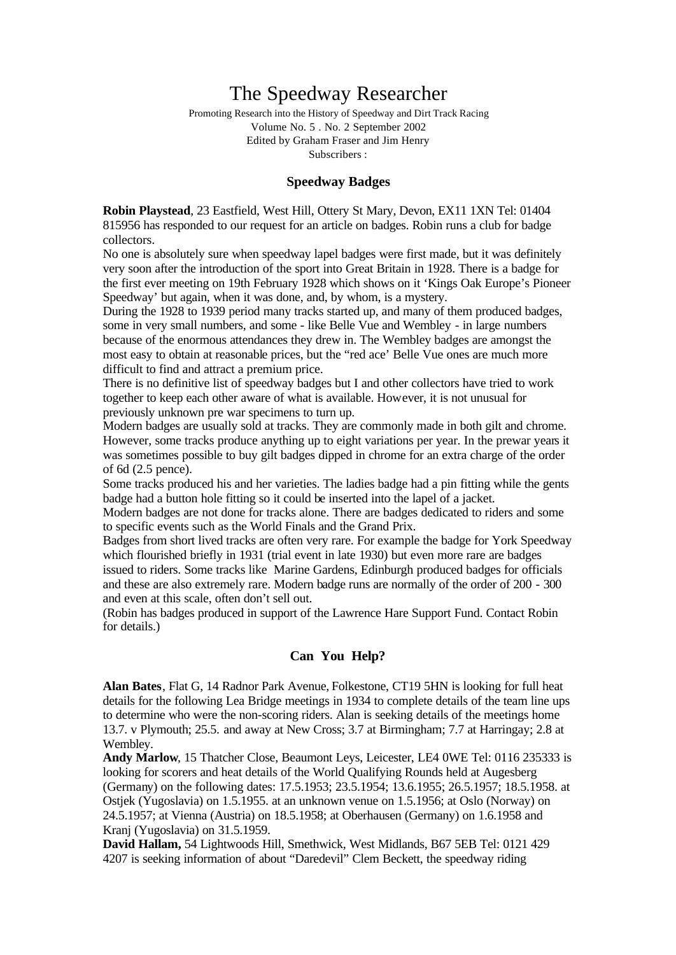# The Speedway Researcher

Promoting Research into the History of Speedway and Dirt Track Racing Volume No. 5 . No. 2 September 2002 Edited by Graham Fraser and Jim Henry Subscribers :

## **Speedway Badges**

**Robin Playstead**, 23 Eastfield, West Hill, Ottery St Mary, Devon, EX11 1XN Tel: 01404 815956 has responded to our request for an article on badges. Robin runs a club for badge collectors.

No one is absolutely sure when speedway lapel badges were first made, but it was definitely very soon after the introduction of the sport into Great Britain in 1928. There is a badge for the first ever meeting on 19th February 1928 which shows on it 'Kings Oak Europe's Pioneer Speedway' but again, when it was done, and, by whom, is a mystery.

During the 1928 to 1939 period many tracks started up, and many of them produced badges, some in very small numbers, and some - like Belle Vue and Wembley - in large numbers because of the enormous attendances they drew in. The Wembley badges are amongst the most easy to obtain at reasonable prices, but the "red ace' Belle Vue ones are much more difficult to find and attract a premium price.

There is no definitive list of speedway badges but I and other collectors have tried to work together to keep each other aware of what is available. However, it is not unusual for previously unknown pre war specimens to turn up.

Modern badges are usually sold at tracks. They are commonly made in both gilt and chrome. However, some tracks produce anything up to eight variations per year. In the prewar years it was sometimes possible to buy gilt badges dipped in chrome for an extra charge of the order of 6d (2.5 pence).

Some tracks produced his and her varieties. The ladies badge had a pin fitting while the gents badge had a button hole fitting so it could be inserted into the lapel of a jacket.

Modern badges are not done for tracks alone. There are badges dedicated to riders and some to specific events such as the World Finals and the Grand Prix.

Badges from short lived tracks are often very rare. For example the badge for York Speedway which flourished briefly in 1931 (trial event in late 1930) but even more rare are badges issued to riders. Some tracks like Marine Gardens, Edinburgh produced badges for officials and these are also extremely rare. Modern badge runs are normally of the order of 200 - 300 and even at this scale, often don't sell out.

(Robin has badges produced in support of the Lawrence Hare Support Fund. Contact Robin for details.)

### **Can You Help?**

**Alan Bates**, Flat G, 14 Radnor Park Avenue, Folkestone, CT19 5HN is looking for full heat details for the following Lea Bridge meetings in 1934 to complete details of the team line ups to determine who were the non-scoring riders. Alan is seeking details of the meetings home 13.7. v Plymouth; 25.5. and away at New Cross; 3.7 at Birmingham; 7.7 at Harringay; 2.8 at Wembley.

**Andy Marlow**, 15 Thatcher Close, Beaumont Leys, Leicester, LE4 0WE Tel: 0116 235333 is looking for scorers and heat details of the World Qualifying Rounds held at Augesberg (Germany) on the following dates: 17.5.1953; 23.5.1954; 13.6.1955; 26.5.1957; 18.5.1958. at Ostjek (Yugoslavia) on 1.5.1955. at an unknown venue on 1.5.1956; at Oslo (Norway) on 24.5.1957; at Vienna (Austria) on 18.5.1958; at Oberhausen (Germany) on 1.6.1958 and Kranj (Yugoslavia) on 31.5.1959.

**David Hallam,** 54 Lightwoods Hill, Smethwick, West Midlands, B67 5EB Tel: 0121 429 4207 is seeking information of about "Daredevil" Clem Beckett, the speedway riding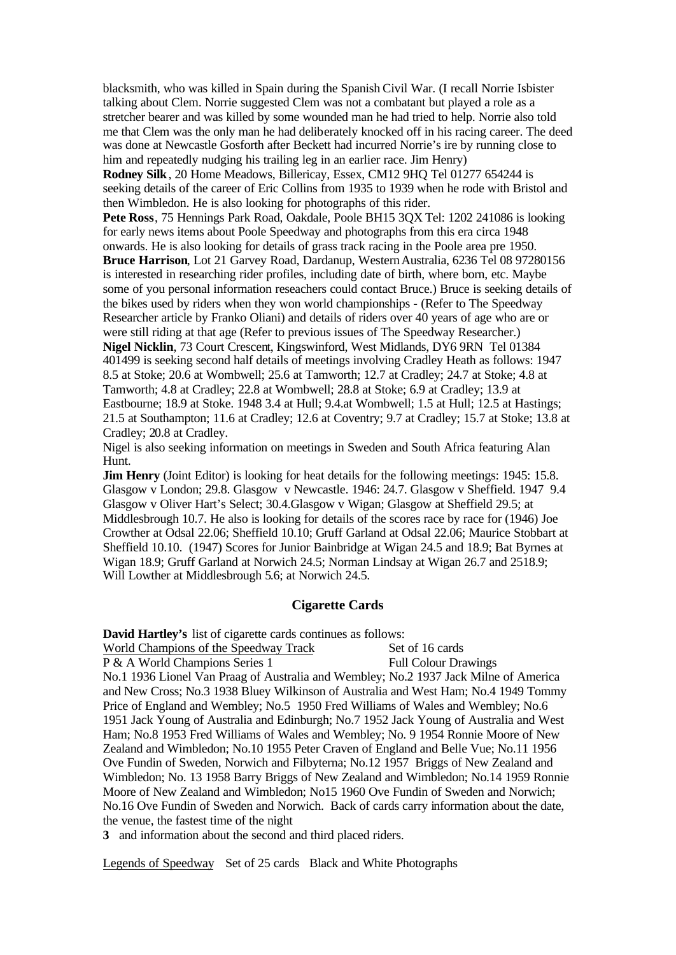blacksmith, who was killed in Spain during the Spanish Civil War. (I recall Norrie Isbister talking about Clem. Norrie suggested Clem was not a combatant but played a role as a stretcher bearer and was killed by some wounded man he had tried to help. Norrie also told me that Clem was the only man he had deliberately knocked off in his racing career. The deed was done at Newcastle Gosforth after Beckett had incurred Norrie's ire by running close to him and repeatedly nudging his trailing leg in an earlier race. Jim Henry)

**Rodney Silk**, 20 Home Meadows, Billericay, Essex, CM12 9HQ Tel 01277 654244 is seeking details of the career of Eric Collins from 1935 to 1939 when he rode with Bristol and then Wimbledon. He is also looking for photographs of this rider.

**Pete Ross**, 75 Hennings Park Road, Oakdale, Poole BH15 3QX Tel: 1202 241086 is looking for early news items about Poole Speedway and photographs from this era circa 1948 onwards. He is also looking for details of grass track racing in the Poole area pre 1950. Bruce Harrison, Lot 21 Garvey Road, Dardanup, Western Australia, 6236 Tel 08 97280156 is interested in researching rider profiles, including date of birth, where born, etc. Maybe some of you personal information reseachers could contact Bruce.) Bruce is seeking details of the bikes used by riders when they won world championships - (Refer to The Speedway Researcher article by Franko Oliani) and details of riders over 40 years of age who are or were still riding at that age (Refer to previous issues of The Speedway Researcher.) **Nigel Nicklin**, 73 Court Crescent, Kingswinford, West Midlands, DY6 9RN Tel 01384 401499 is seeking second half details of meetings involving Cradley Heath as follows: 1947 8.5 at Stoke; 20.6 at Wombwell; 25.6 at Tamworth; 12.7 at Cradley; 24.7 at Stoke; 4.8 at Tamworth; 4.8 at Cradley; 22.8 at Wombwell; 28.8 at Stoke; 6.9 at Cradley; 13.9 at Eastbourne; 18.9 at Stoke. 1948 3.4 at Hull; 9.4.at Wombwell; 1.5 at Hull; 12.5 at Hastings; 21.5 at Southampton; 11.6 at Cradley; 12.6 at Coventry; 9.7 at Cradley; 15.7 at Stoke; 13.8 at Cradley; 20.8 at Cradley.

Nigel is also seeking information on meetings in Sweden and South Africa featuring Alan Hunt.

**Jim Henry** (Joint Editor) is looking for heat details for the following meetings: 1945: 15.8. Glasgow v London; 29.8. Glasgow v Newcastle. 1946: 24.7. Glasgow v Sheffield. 1947 9.4 Glasgow v Oliver Hart's Select; 30.4.Glasgow v Wigan; Glasgow at Sheffield 29.5; at Middlesbrough 10.7. He also is looking for details of the scores race by race for (1946) Joe Crowther at Odsal 22.06; Sheffield 10.10; Gruff Garland at Odsal 22.06; Maurice Stobbart at Sheffield 10.10. (1947) Scores for Junior Bainbridge at Wigan 24.5 and 18.9; Bat Byrnes at Wigan 18.9; Gruff Garland at Norwich 24.5; Norman Lindsay at Wigan 26.7 and 2518.9; Will Lowther at Middlesbrough 5.6; at Norwich 24.5.

#### **Cigarette Cards**

**David Hartley's** list of cigarette cards continues as follows: World Champions of the Speedway Track Set of 16 cards P & A World Champions Series 1 Full Colour Drawings No.1 1936 Lionel Van Praag of Australia and Wembley; No.2 1937 Jack Milne of America and New Cross; No.3 1938 Bluey Wilkinson of Australia and West Ham; No.4 1949 Tommy Price of England and Wembley; No.5 1950 Fred Williams of Wales and Wembley; No.6 1951 Jack Young of Australia and Edinburgh; No.7 1952 Jack Young of Australia and West Ham; No.8 1953 Fred Williams of Wales and Wembley; No. 9 1954 Ronnie Moore of New Zealand and Wimbledon; No.10 1955 Peter Craven of England and Belle Vue; No.11 1956 Ove Fundin of Sweden, Norwich and Filbyterna; No.12 1957 Briggs of New Zealand and Wimbledon; No. 13 1958 Barry Briggs of New Zealand and Wimbledon; No.14 1959 Ronnie Moore of New Zealand and Wimbledon; No15 1960 Ove Fundin of Sweden and Norwich; No.16 Ove Fundin of Sweden and Norwich. Back of cards carry information about the date, the venue, the fastest time of the night **3** and information about the second and third placed riders.

Legends of Speedway Set of 25 cards Black and White Photographs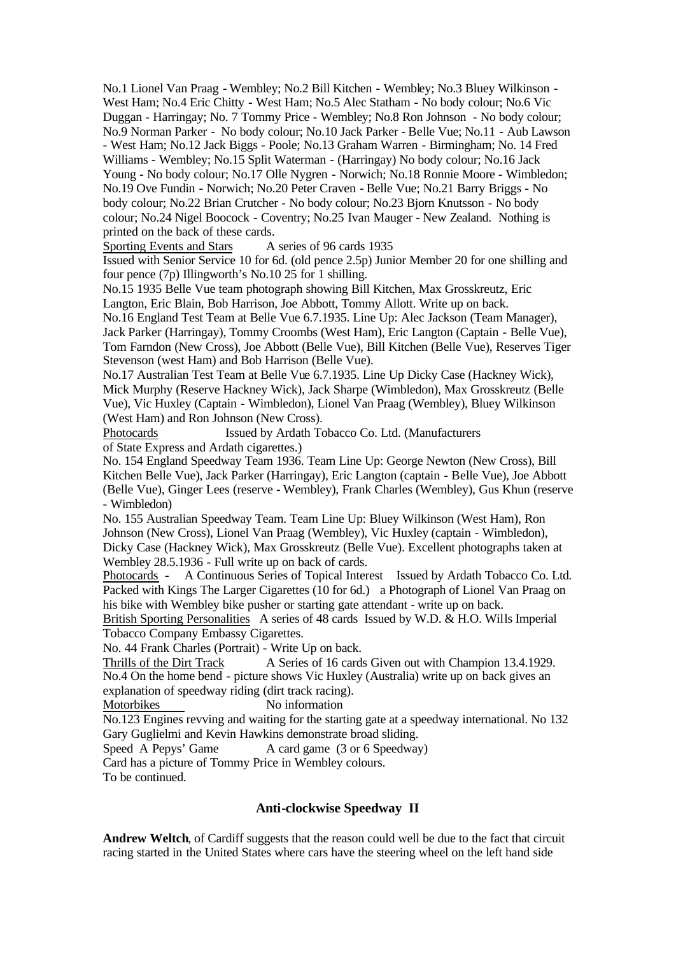No.1 Lionel Van Praag - Wembley; No.2 Bill Kitchen - Wembley; No.3 Bluey Wilkinson - West Ham; No.4 Eric Chitty - West Ham; No.5 Alec Statham - No body colour; No.6 Vic Duggan - Harringay; No. 7 Tommy Price - Wembley; No.8 Ron Johnson - No body colour; No.9 Norman Parker - No body colour; No.10 Jack Parker - Belle Vue; No.11 - Aub Lawson - West Ham; No.12 Jack Biggs - Poole; No.13 Graham Warren - Birmingham; No. 14 Fred Williams - Wembley; No.15 Split Waterman - (Harringay) No body colour; No.16 Jack Young - No body colour; No.17 Olle Nygren - Norwich; No.18 Ronnie Moore - Wimbledon; No.19 Ove Fundin - Norwich; No.20 Peter Craven - Belle Vue; No.21 Barry Briggs - No body colour; No.22 Brian Crutcher - No body colour; No.23 Bjorn Knutsson - No body colour; No.24 Nigel Boocock - Coventry; No.25 Ivan Mauger - New Zealand. Nothing is printed on the back of these cards.

Sporting Events and Stars A series of 96 cards 1935

Issued with Senior Service 10 for 6d. (old pence 2.5p) Junior Member 20 for one shilling and four pence (7p) Illingworth's No.10 25 for 1 shilling.

No.15 1935 Belle Vue team photograph showing Bill Kitchen, Max Grosskreutz, Eric Langton, Eric Blain, Bob Harrison, Joe Abbott, Tommy Allott. Write up on back. No.16 England Test Team at Belle Vue 6.7.1935. Line Up: Alec Jackson (Team Manager), Jack Parker (Harringay), Tommy Croombs (West Ham), Eric Langton (Captain - Belle Vue), Tom Farndon (New Cross), Joe Abbott (Belle Vue), Bill Kitchen (Belle Vue), Reserves Tiger Stevenson (west Ham) and Bob Harrison (Belle Vue).

No.17 Australian Test Team at Belle Vue 6.7.1935. Line Up Dicky Case (Hackney Wick), Mick Murphy (Reserve Hackney Wick), Jack Sharpe (Wimbledon), Max Grosskreutz (Belle Vue), Vic Huxley (Captain - Wimbledon), Lionel Van Praag (Wembley), Bluey Wilkinson (West Ham) and Ron Johnson (New Cross).

Photocards Issued by Ardath Tobacco Co. Ltd. (Manufacturers of State Express and Ardath cigarettes.)

No. 154 England Speedway Team 1936. Team Line Up: George Newton (New Cross), Bill Kitchen Belle Vue), Jack Parker (Harringay), Eric Langton (captain - Belle Vue), Joe Abbott (Belle Vue), Ginger Lees (reserve - Wembley), Frank Charles (Wembley), Gus Khun (reserve - Wimbledon)

No. 155 Australian Speedway Team. Team Line Up: Bluey Wilkinson (West Ham), Ron Johnson (New Cross), Lionel Van Praag (Wembley), Vic Huxley (captain - Wimbledon), Dicky Case (Hackney Wick), Max Grosskreutz (Belle Vue). Excellent photographs taken at Wembley 28.5.1936 - Full write up on back of cards.

Photocards - A Continuous Series of Topical Interest Issued by Ardath Tobacco Co. Ltd. Packed with Kings The Larger Cigarettes (10 for 6d.) a Photograph of Lionel Van Praag on his bike with Wembley bike pusher or starting gate attendant - write up on back.

British Sporting Personalities A series of 48 cards Issued by W.D. & H.O. Wills Imperial Tobacco Company Embassy Cigarettes.

No. 44 Frank Charles (Portrait) - Write Up on back.

Thrills of the Dirt Track A Series of 16 cards Given out with Champion 13.4.1929. No.4 On the home bend - picture shows Vic Huxley (Australia) write up on back gives an explanation of speedway riding (dirt track racing).

Motorbikes No information

No.123 Engines revving and waiting for the starting gate at a speedway international. No 132 Gary Guglielmi and Kevin Hawkins demonstrate broad sliding.

Speed A Pepys' Game A card game (3 or 6 Speedway)

Card has a picture of Tommy Price in Wembley colours.

To be continued.

# **Anti-clockwise Speedway II**

**Andrew Weltch**, of Cardiff suggests that the reason could well be due to the fact that circuit racing started in the United States where cars have the steering wheel on the left hand side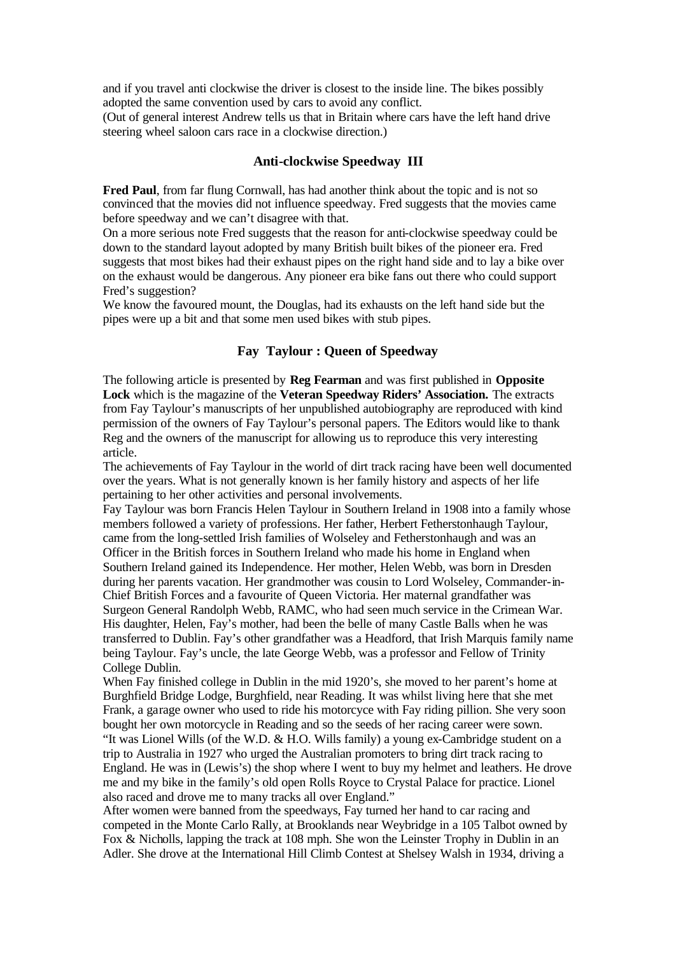and if you travel anti clockwise the driver is closest to the inside line. The bikes possibly adopted the same convention used by cars to avoid any conflict.

(Out of general interest Andrew tells us that in Britain where cars have the left hand drive steering wheel saloon cars race in a clockwise direction.)

#### **Anti-clockwise Speedway III**

**Fred Paul**, from far flung Cornwall, has had another think about the topic and is not so convinced that the movies did not influence speedway. Fred suggests that the movies came before speedway and we can't disagree with that.

On a more serious note Fred suggests that the reason for anti-clockwise speedway could be down to the standard layout adopted by many British built bikes of the pioneer era. Fred suggests that most bikes had their exhaust pipes on the right hand side and to lay a bike over on the exhaust would be dangerous. Any pioneer era bike fans out there who could support Fred's suggestion?

We know the favoured mount, the Douglas, had its exhausts on the left hand side but the pipes were up a bit and that some men used bikes with stub pipes.

### **Fay Taylour : Queen of Speedway**

The following article is presented by **Reg Fearman** and was first published in **Opposite Lock** which is the magazine of the **Veteran Speedway Riders' Association.** The extracts from Fay Taylour's manuscripts of her unpublished autobiography are reproduced with kind permission of the owners of Fay Taylour's personal papers. The Editors would like to thank Reg and the owners of the manuscript for allowing us to reproduce this very interesting article.

The achievements of Fay Taylour in the world of dirt track racing have been well documented over the years. What is not generally known is her family history and aspects of her life pertaining to her other activities and personal involvements.

Fay Taylour was born Francis Helen Taylour in Southern Ireland in 1908 into a family whose members followed a variety of professions. Her father, Herbert Fetherstonhaugh Taylour, came from the long-settled Irish families of Wolseley and Fetherstonhaugh and was an Officer in the British forces in Southern Ireland who made his home in England when Southern Ireland gained its Independence. Her mother, Helen Webb, was born in Dresden during her parents vacation. Her grandmother was cousin to Lord Wolseley, Commander-in-Chief British Forces and a favourite of Queen Victoria. Her maternal grandfather was Surgeon General Randolph Webb, RAMC, who had seen much service in the Crimean War. His daughter, Helen, Fay's mother, had been the belle of many Castle Balls when he was transferred to Dublin. Fay's other grandfather was a Headford, that Irish Marquis family name being Taylour. Fay's uncle, the late George Webb, was a professor and Fellow of Trinity College Dublin.

When Fay finished college in Dublin in the mid 1920's, she moved to her parent's home at Burghfield Bridge Lodge, Burghfield, near Reading. It was whilst living here that she met Frank, a garage owner who used to ride his motorcyce with Fay riding pillion. She very soon bought her own motorcycle in Reading and so the seeds of her racing career were sown. "It was Lionel Wills (of the W.D.  $\&$  H.O. Wills family) a young ex-Cambridge student on a trip to Australia in 1927 who urged the Australian promoters to bring dirt track racing to England. He was in (Lewis's) the shop where I went to buy my helmet and leathers. He drove me and my bike in the family's old open Rolls Royce to Crystal Palace for practice. Lionel also raced and drove me to many tracks all over England."

After women were banned from the speedways, Fay turned her hand to car racing and competed in the Monte Carlo Rally, at Brooklands near Weybridge in a 105 Talbot owned by Fox & Nicholls, lapping the track at 108 mph. She won the Leinster Trophy in Dublin in an Adler. She drove at the International Hill Climb Contest at Shelsey Walsh in 1934, driving a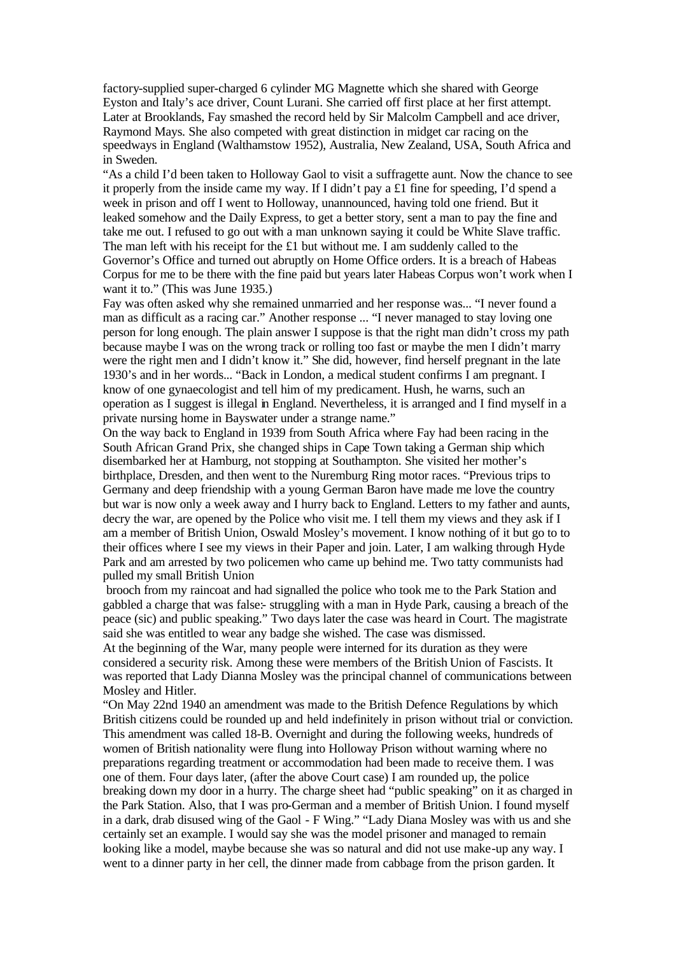factory-supplied super-charged 6 cylinder MG Magnette which she shared with George Eyston and Italy's ace driver, Count Lurani. She carried off first place at her first attempt. Later at Brooklands, Fay smashed the record held by Sir Malcolm Campbell and ace driver, Raymond Mays. She also competed with great distinction in midget car racing on the speedways in England (Walthamstow 1952), Australia, New Zealand, USA, South Africa and in Sweden.

"As a child I'd been taken to Holloway Gaol to visit a suffragette aunt. Now the chance to see it properly from the inside came my way. If I didn't pay a £1 fine for speeding, I'd spend a week in prison and off I went to Holloway, unannounced, having told one friend. But it leaked somehow and the Daily Express, to get a better story, sent a man to pay the fine and take me out. I refused to go out with a man unknown saying it could be White Slave traffic. The man left with his receipt for the £1 but without me. I am suddenly called to the Governor's Office and turned out abruptly on Home Office orders. It is a breach of Habeas Corpus for me to be there with the fine paid but years later Habeas Corpus won't work when I want it to." (This was June 1935.)

Fay was often asked why she remained unmarried and her response was... "I never found a man as difficult as a racing car." Another response ... "I never managed to stay loving one person for long enough. The plain answer I suppose is that the right man didn't cross my path because maybe I was on the wrong track or rolling too fast or maybe the men I didn't marry were the right men and I didn't know it." She did, however, find herself pregnant in the late 1930's and in her words... "Back in London, a medical student confirms I am pregnant. I know of one gynaecologist and tell him of my predicament. Hush, he warns, such an operation as I suggest is illegal in England. Nevertheless, it is arranged and I find myself in a private nursing home in Bayswater under a strange name."

On the way back to England in 1939 from South Africa where Fay had been racing in the South African Grand Prix, she changed ships in Cape Town taking a German ship which disembarked her at Hamburg, not stopping at Southampton. She visited her mother's birthplace, Dresden, and then went to the Nuremburg Ring motor races. "Previous trips to Germany and deep friendship with a young German Baron have made me love the country but war is now only a week away and I hurry back to England. Letters to my father and aunts, decry the war, are opened by the Police who visit me. I tell them my views and they ask if I am a member of British Union, Oswald Mosley's movement. I know nothing of it but go to to their offices where I see my views in their Paper and join. Later, I am walking through Hyde Park and am arrested by two policemen who came up behind me. Two tatty communists had pulled my small British Union

brooch from my raincoat and had signalled the police who took me to the Park Station and gabbled a charge that was false:- struggling with a man in Hyde Park, causing a breach of the peace (sic) and public speaking." Two days later the case was heard in Court. The magistrate said she was entitled to wear any badge she wished. The case was dismissed.

At the beginning of the War, many people were interned for its duration as they were considered a security risk. Among these were members of the British Union of Fascists. It was reported that Lady Dianna Mosley was the principal channel of communications between Mosley and Hitler.

"On May 22nd 1940 an amendment was made to the British Defence Regulations by which British citizens could be rounded up and held indefinitely in prison without trial or conviction. This amendment was called 18-B. Overnight and during the following weeks, hundreds of women of British nationality were flung into Holloway Prison without warning where no preparations regarding treatment or accommodation had been made to receive them. I was one of them. Four days later, (after the above Court case) I am rounded up, the police breaking down my door in a hurry. The charge sheet had "public speaking" on it as charged in the Park Station. Also, that I was pro-German and a member of British Union. I found myself in a dark, drab disused wing of the Gaol - F Wing." "Lady Diana Mosley was with us and she certainly set an example. I would say she was the model prisoner and managed to remain looking like a model, maybe because she was so natural and did not use make-up any way. I went to a dinner party in her cell, the dinner made from cabbage from the prison garden. It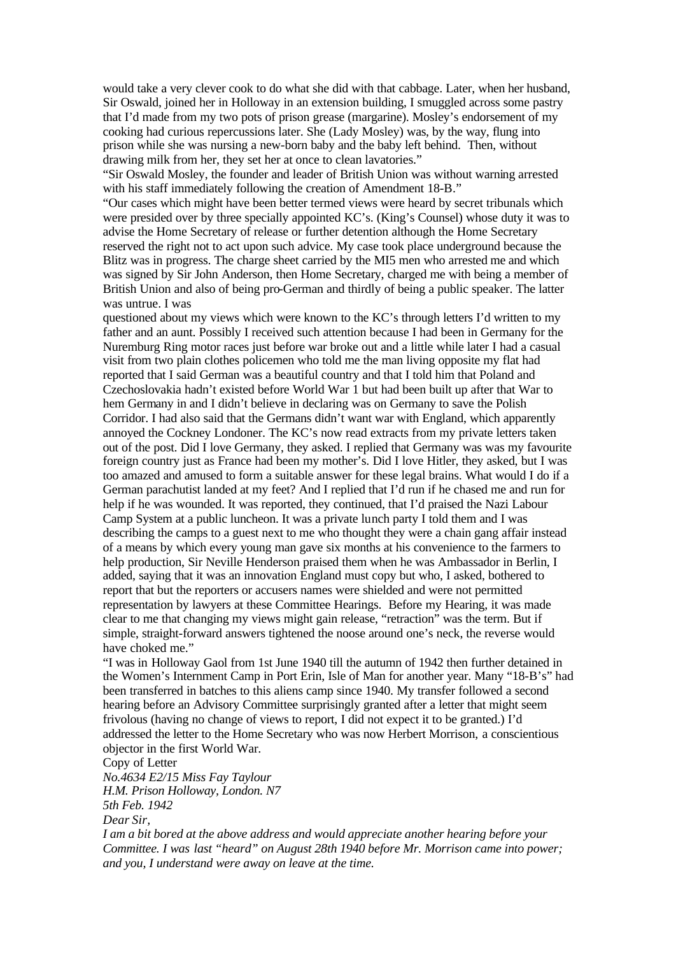would take a very clever cook to do what she did with that cabbage. Later, when her husband, Sir Oswald, joined her in Holloway in an extension building, I smuggled across some pastry that I'd made from my two pots of prison grease (margarine). Mosley's endorsement of my cooking had curious repercussions later. She (Lady Mosley) was, by the way, flung into prison while she was nursing a new-born baby and the baby left behind. Then, without drawing milk from her, they set her at once to clean lavatories."

"Sir Oswald Mosley, the founder and leader of British Union was without warning arrested with his staff immediately following the creation of Amendment 18-B."

"Our cases which might have been better termed views were heard by secret tribunals which were presided over by three specially appointed KC's. (King's Counsel) whose duty it was to advise the Home Secretary of release or further detention although the Home Secretary reserved the right not to act upon such advice. My case took place underground because the Blitz was in progress. The charge sheet carried by the MI5 men who arrested me and which was signed by Sir John Anderson, then Home Secretary, charged me with being a member of British Union and also of being pro-German and thirdly of being a public speaker. The latter was untrue. I was

questioned about my views which were known to the KC's through letters I'd written to my father and an aunt. Possibly I received such attention because I had been in Germany for the Nuremburg Ring motor races just before war broke out and a little while later I had a casual visit from two plain clothes policemen who told me the man living opposite my flat had reported that I said German was a beautiful country and that I told him that Poland and Czechoslovakia hadn't existed before World War 1 but had been built up after that War to hem Germany in and I didn't believe in declaring was on Germany to save the Polish Corridor. I had also said that the Germans didn't want war with England, which apparently annoyed the Cockney Londoner. The KC's now read extracts from my private letters taken out of the post. Did I love Germany, they asked. I replied that Germany was was my favourite foreign country just as France had been my mother's. Did I love Hitler, they asked, but I was too amazed and amused to form a suitable answer for these legal brains. What would I do if a German parachutist landed at my feet? And I replied that I'd run if he chased me and run for help if he was wounded. It was reported, they continued, that I'd praised the Nazi Labour Camp System at a public luncheon. It was a private lunch party I told them and I was describing the camps to a guest next to me who thought they were a chain gang affair instead of a means by which every young man gave six months at his convenience to the farmers to help production, Sir Neville Henderson praised them when he was Ambassador in Berlin, I added, saying that it was an innovation England must copy but who, I asked, bothered to report that but the reporters or accusers names were shielded and were not permitted representation by lawyers at these Committee Hearings. Before my Hearing, it was made clear to me that changing my views might gain release, "retraction" was the term. But if simple, straight-forward answers tightened the noose around one's neck, the reverse would have choked me."

"I was in Holloway Gaol from 1st June 1940 till the autumn of 1942 then further detained in the Women's Internment Camp in Port Erin, Isle of Man for another year. Many "18-B's" had been transferred in batches to this aliens camp since 1940. My transfer followed a second hearing before an Advisory Committee surprisingly granted after a letter that might seem frivolous (having no change of views to report, I did not expect it to be granted.) I'd addressed the letter to the Home Secretary who was now Herbert Morrison, a conscientious objector in the first World War.

Copy of Letter

*No.4634 E2/15 Miss Fay Taylour H.M. Prison Holloway, London. N7 5th Feb. 1942 Dear Sir,*

*I am a bit bored at the above address and would appreciate another hearing before your Committee. I was last "heard" on August 28th 1940 before Mr. Morrison came into power; and you, I understand were away on leave at the time.*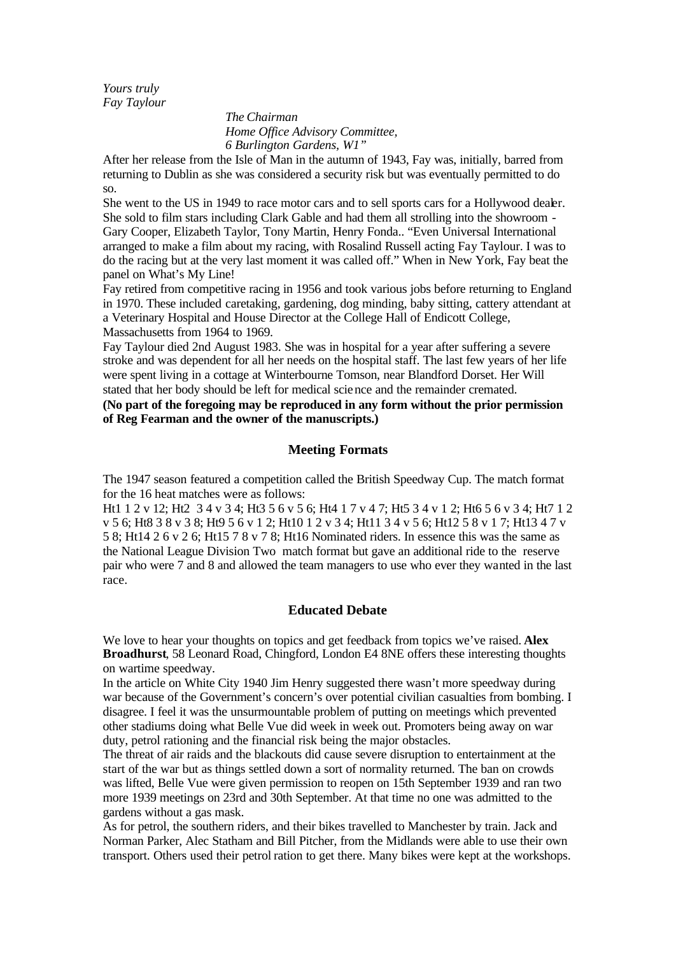*Yours truly Fay Taylour*

> *The Chairman Home Office Advisory Committee, 6 Burlington Gardens, W1"*

After her release from the Isle of Man in the autumn of 1943, Fay was, initially, barred from returning to Dublin as she was considered a security risk but was eventually permitted to do so.

She went to the US in 1949 to race motor cars and to sell sports cars for a Hollywood dealer. She sold to film stars including Clark Gable and had them all strolling into the showroom - Gary Cooper, Elizabeth Taylor, Tony Martin, Henry Fonda.. "Even Universal International arranged to make a film about my racing, with Rosalind Russell acting Fay Taylour. I was to do the racing but at the very last moment it was called off." When in New York, Fay beat the panel on What's My Line!

Fay retired from competitive racing in 1956 and took various jobs before returning to England in 1970. These included caretaking, gardening, dog minding, baby sitting, cattery attendant at a Veterinary Hospital and House Director at the College Hall of Endicott College, Massachusetts from 1964 to 1969.

Fay Taylour died 2nd August 1983. She was in hospital for a year after suffering a severe stroke and was dependent for all her needs on the hospital staff. The last few years of her life were spent living in a cottage at Winterbourne Tomson, near Blandford Dorset. Her Will stated that her body should be left for medical science and the remainder cremated.

**(No part of the foregoing may be reproduced in any form without the prior permission of Reg Fearman and the owner of the manuscripts.)**

# **Meeting Formats**

The 1947 season featured a competition called the British Speedway Cup. The match format for the 16 heat matches were as follows:

Ht1 1 2 v 12; Ht2 3 4 v 3 4; Ht3 5 6 v 5 6; Ht4 1 7 v 4 7; Ht5 3 4 v 1 2; Ht6 5 6 v 3 4; Ht7 1 2 v 5 6; Ht8 3 8 v 3 8; Ht9 5 6 v 1 2; Ht10 1 2 v 3 4; Ht11 3 4 v 5 6; Ht12 5 8 v 1 7; Ht13 4 7 v 5 8; Ht14 2 6 v 2 6; Ht15 7 8 v 7 8; Ht16 Nominated riders. In essence this was the same as the National League Division Two match format but gave an additional ride to the reserve pair who were 7 and 8 and allowed the team managers to use who ever they wanted in the last race.

### **Educated Debate**

We love to hear your thoughts on topics and get feedback from topics we've raised. **Alex Broadhurst**, 58 Leonard Road, Chingford, London E4 8NE offers these interesting thoughts on wartime speedway.

In the article on White City 1940 Jim Henry suggested there wasn't more speedway during war because of the Government's concern's over potential civilian casualties from bombing. I disagree. I feel it was the unsurmountable problem of putting on meetings which prevented other stadiums doing what Belle Vue did week in week out. Promoters being away on war duty, petrol rationing and the financial risk being the major obstacles.

The threat of air raids and the blackouts did cause severe disruption to entertainment at the start of the war but as things settled down a sort of normality returned. The ban on crowds was lifted, Belle Vue were given permission to reopen on 15th September 1939 and ran two more 1939 meetings on 23rd and 30th September. At that time no one was admitted to the gardens without a gas mask.

As for petrol, the southern riders, and their bikes travelled to Manchester by train. Jack and Norman Parker, Alec Statham and Bill Pitcher, from the Midlands were able to use their own transport. Others used their petrol ration to get there. Many bikes were kept at the workshops.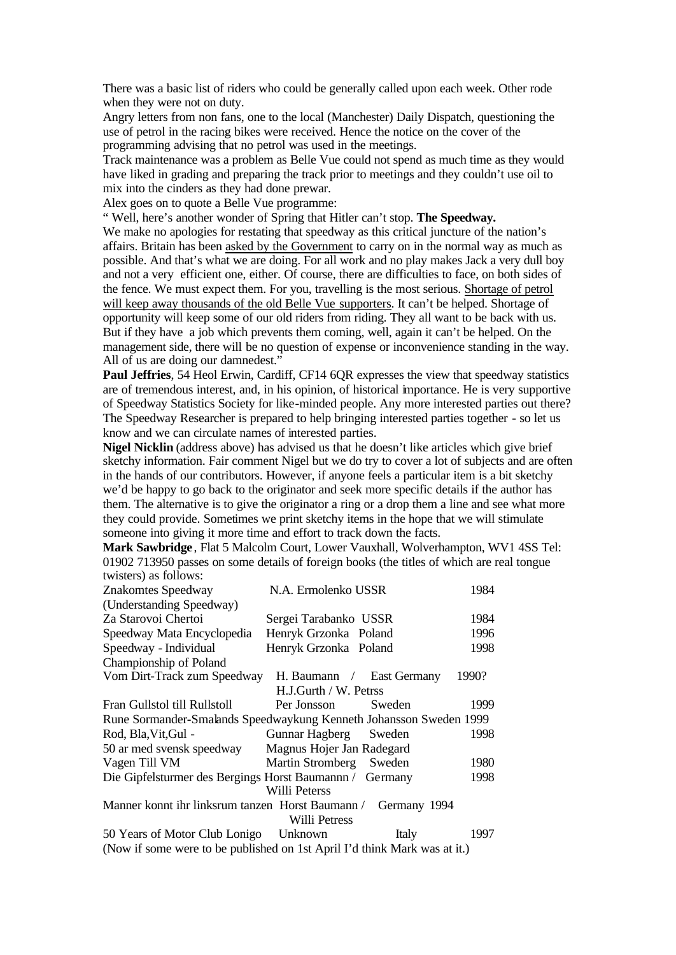There was a basic list of riders who could be generally called upon each week. Other rode when they were not on duty.

Angry letters from non fans, one to the local (Manchester) Daily Dispatch, questioning the use of petrol in the racing bikes were received. Hence the notice on the cover of the programming advising that no petrol was used in the meetings.

Track maintenance was a problem as Belle Vue could not spend as much time as they would have liked in grading and preparing the track prior to meetings and they couldn't use oil to mix into the cinders as they had done prewar.

Alex goes on to quote a Belle Vue programme:

" Well, here's another wonder of Spring that Hitler can't stop. **The Speedway.**

We make no apologies for restating that speedway as this critical juncture of the nation's affairs. Britain has been asked by the Government to carry on in the normal way as much as possible. And that's what we are doing. For all work and no play makes Jack a very dull boy and not a very efficient one, either. Of course, there are difficulties to face, on both sides of the fence. We must expect them. For you, travelling is the most serious. Shortage of petrol will keep away thousands of the old Belle Vue supporters. It can't be helped. Shortage of opportunity will keep some of our old riders from riding. They all want to be back with us. But if they have a job which prevents them coming, well, again it can't be helped. On the management side, there will be no question of expense or inconvenience standing in the way. All of us are doing our damnedest."

**Paul Jeffries**, 54 Heol Erwin, Cardiff, CF14 6OR expresses the view that speedway statistics are of tremendous interest, and, in his opinion, of historical importance. He is very supportive of Speedway Statistics Society for like-minded people. Any more interested parties out there? The Speedway Researcher is prepared to help bringing interested parties together - so let us know and we can circulate names of interested parties.

**Nigel Nicklin** (address above) has advised us that he doesn't like articles which give brief sketchy information. Fair comment Nigel but we do try to cover a lot of subjects and are often in the hands of our contributors. However, if anyone feels a particular item is a bit sketchy we'd be happy to go back to the originator and seek more specific details if the author has them. The alternative is to give the originator a ring or a drop them a line and see what more they could provide. Sometimes we print sketchy items in the hope that we will stimulate someone into giving it more time and effort to track down the facts.

**Mark Sawbridge** , Flat 5 Malcolm Court, Lower Vauxhall, Wolverhampton, WV1 4SS Tel: 01902 713950 passes on some details of foreign books (the titles of which are real tongue twisters) as follows:

| Znakomtes Speedway                                                        | N.A. Ermolenko USSR       | 1984   |       |  |  |  |  |  |  |  |  |
|---------------------------------------------------------------------------|---------------------------|--------|-------|--|--|--|--|--|--|--|--|
| (Understanding Speedway)                                                  |                           |        |       |  |  |  |  |  |  |  |  |
| Za Starovoi Chertoi                                                       | Sergei Tarabanko USSR     |        | 1984  |  |  |  |  |  |  |  |  |
| Speedway Mata Encyclopedia                                                | Henryk Grzonka Poland     |        | 1996  |  |  |  |  |  |  |  |  |
| Speedway - Individual                                                     | Henryk Grzonka Poland     | 1998   |       |  |  |  |  |  |  |  |  |
| Championship of Poland                                                    |                           |        |       |  |  |  |  |  |  |  |  |
| Vom Dirt-Track zum Speedway                                               | H. Baumann / East Germany |        | 1990? |  |  |  |  |  |  |  |  |
| H.J.Gurth / W. Petrss                                                     |                           |        |       |  |  |  |  |  |  |  |  |
| Fran Gullstol till Rullstoll                                              | Per Jonsson               | Sweden | 1999  |  |  |  |  |  |  |  |  |
| Rune Sormander-Smalands Speedwaykung Kenneth Johansson Sweden 1999        |                           |        |       |  |  |  |  |  |  |  |  |
| Rod, Bla, Vit, Gul -                                                      | Gunnar Hagberg Sweden     |        | 1998  |  |  |  |  |  |  |  |  |
| 50 ar med svensk speedway                                                 | Magnus Hojer Jan Radegard |        |       |  |  |  |  |  |  |  |  |
| Vagen Till VM                                                             | <b>Martin Stromberg</b>   | Sweden | 1980  |  |  |  |  |  |  |  |  |
| Die Gipfelsturmer des Bergings Horst Baumannn / Germany                   |                           |        |       |  |  |  |  |  |  |  |  |
|                                                                           | Willi Peterss             |        |       |  |  |  |  |  |  |  |  |
| Manner konnt ihr linksrum tanzen Horst Baumann / Germany 1994             |                           |        |       |  |  |  |  |  |  |  |  |
|                                                                           | Willi Petress             |        |       |  |  |  |  |  |  |  |  |
| 50 Years of Motor Club Lonigo Unknown                                     |                           | Italy  | 1997  |  |  |  |  |  |  |  |  |
| (Now if some were to be published on 1st April I'd think Mark was at it.) |                           |        |       |  |  |  |  |  |  |  |  |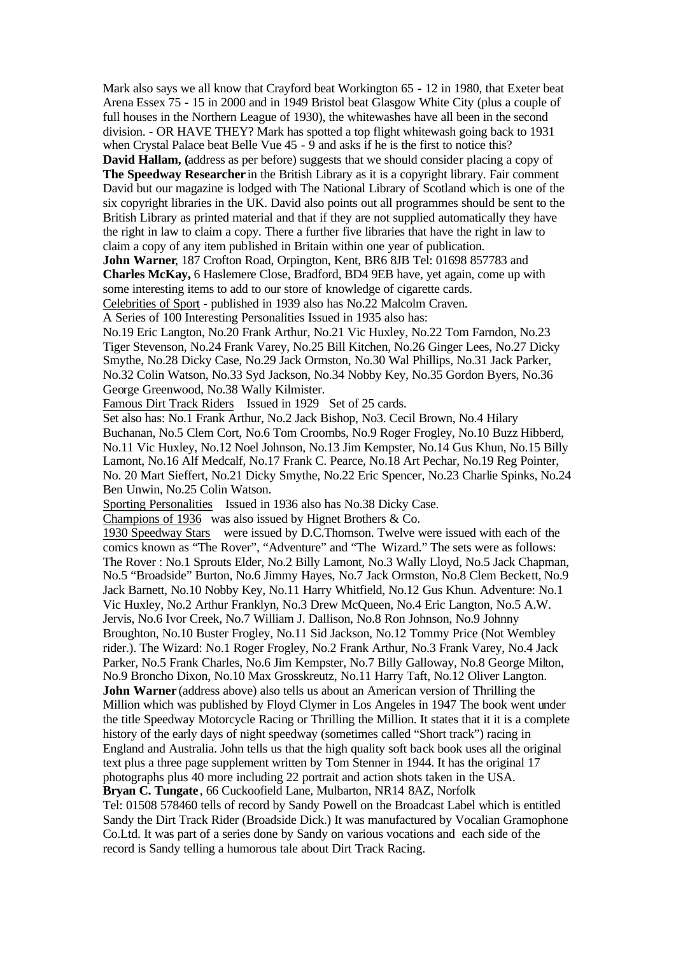Mark also says we all know that Crayford beat Workington 65 - 12 in 1980, that Exeter beat Arena Essex 75 - 15 in 2000 and in 1949 Bristol beat Glasgow White City (plus a couple of full houses in the Northern League of 1930), the whitewashes have all been in the second division. - OR HAVE THEY? Mark has spotted a top flight whitewash going back to 1931 when Crystal Palace beat Belle Vue  $45 - 9$  and asks if he is the first to notice this?

**David Hallam, (**address as per before) suggests that we should consider placing a copy of **The Speedway Researcher** in the British Library as it is a copyright library. Fair comment David but our magazine is lodged with The National Library of Scotland which is one of the six copyright libraries in the UK. David also points out all programmes should be sent to the British Library as printed material and that if they are not supplied automatically they have the right in law to claim a copy. There a further five libraries that have the right in law to claim a copy of any item published in Britain within one year of publication.

**John Warner**, 187 Crofton Road, Orpington, Kent, BR6 8JB Tel: 01698 857783 and **Charles McKay,** 6 Haslemere Close, Bradford, BD4 9EB have, yet again, come up with some interesting items to add to our store of knowledge of cigarette cards.

Celebrities of Sport - published in 1939 also has No.22 Malcolm Craven.

A Series of 100 Interesting Personalities Issued in 1935 also has:

No.19 Eric Langton, No.20 Frank Arthur, No.21 Vic Huxley, No.22 Tom Farndon, No.23 Tiger Stevenson, No.24 Frank Varey, No.25 Bill Kitchen, No.26 Ginger Lees, No.27 Dicky Smythe, No.28 Dicky Case, No.29 Jack Ormston, No.30 Wal Phillips, No.31 Jack Parker, No.32 Colin Watson, No.33 Syd Jackson, No.34 Nobby Key, No.35 Gordon Byers, No.36 George Greenwood, No.38 Wally Kilmister.

Famous Dirt Track Riders Issued in 1929 Set of 25 cards.

Set also has: No.1 Frank Arthur, No.2 Jack Bishop, No3. Cecil Brown, No.4 Hilary Buchanan, No.5 Clem Cort, No.6 Tom Croombs, No.9 Roger Frogley, No.10 Buzz Hibberd, No.11 Vic Huxley, No.12 Noel Johnson, No.13 Jim Kempster, No.14 Gus Khun, No.15 Billy Lamont, No.16 Alf Medcalf, No.17 Frank C. Pearce, No.18 Art Pechar, No.19 Reg Pointer, No. 20 Mart Sieffert, No.21 Dicky Smythe, No.22 Eric Spencer, No.23 Charlie Spinks, No.24 Ben Unwin, No.25 Colin Watson.

Sporting Personalities Issued in 1936 also has No.38 Dicky Case.

Champions of 1936 was also issued by Hignet Brothers & Co.

1930 Speedway Stars were issued by D.C.Thomson. Twelve were issued with each of the comics known as "The Rover", "Adventure" and "The Wizard." The sets were as follows: The Rover : No.1 Sprouts Elder, No.2 Billy Lamont, No.3 Wally Lloyd, No.5 Jack Chapman, No.5 "Broadside" Burton, No.6 Jimmy Hayes, No.7 Jack Ormston, No.8 Clem Beckett, No.9 Jack Barnett, No.10 Nobby Key, No.11 Harry Whitfield, No.12 Gus Khun. Adventure: No.1 Vic Huxley, No.2 Arthur Franklyn, No.3 Drew McQueen, No.4 Eric Langton, No.5 A.W. Jervis, No.6 Ivor Creek, No.7 William J. Dallison, No.8 Ron Johnson, No.9 Johnny Broughton, No.10 Buster Frogley, No.11 Sid Jackson, No.12 Tommy Price (Not Wembley rider.). The Wizard: No.1 Roger Frogley, No.2 Frank Arthur, No.3 Frank Varey, No.4 Jack Parker, No.5 Frank Charles, No.6 Jim Kempster, No.7 Billy Galloway, No.8 George Milton, No.9 Broncho Dixon, No.10 Max Grosskreutz, No.11 Harry Taft, No.12 Oliver Langton. **John Warner** (address above) also tells us about an American version of Thrilling the Million which was published by Floyd Clymer in Los Angeles in 1947 The book went under the title Speedway Motorcycle Racing or Thrilling the Million. It states that it it is a complete history of the early days of night speedway (sometimes called "Short track") racing in England and Australia. John tells us that the high quality soft back book uses all the original text plus a three page supplement written by Tom Stenner in 1944. It has the original 17 photographs plus 40 more including 22 portrait and action shots taken in the USA. **Bryan C. Tungate** , 66 Cuckoofield Lane, Mulbarton, NR14 8AZ, Norfolk

Tel: 01508 578460 tells of record by Sandy Powell on the Broadcast Label which is entitled Sandy the Dirt Track Rider (Broadside Dick.) It was manufactured by Vocalian Gramophone Co.Ltd. It was part of a series done by Sandy on various vocations and each side of the record is Sandy telling a humorous tale about Dirt Track Racing.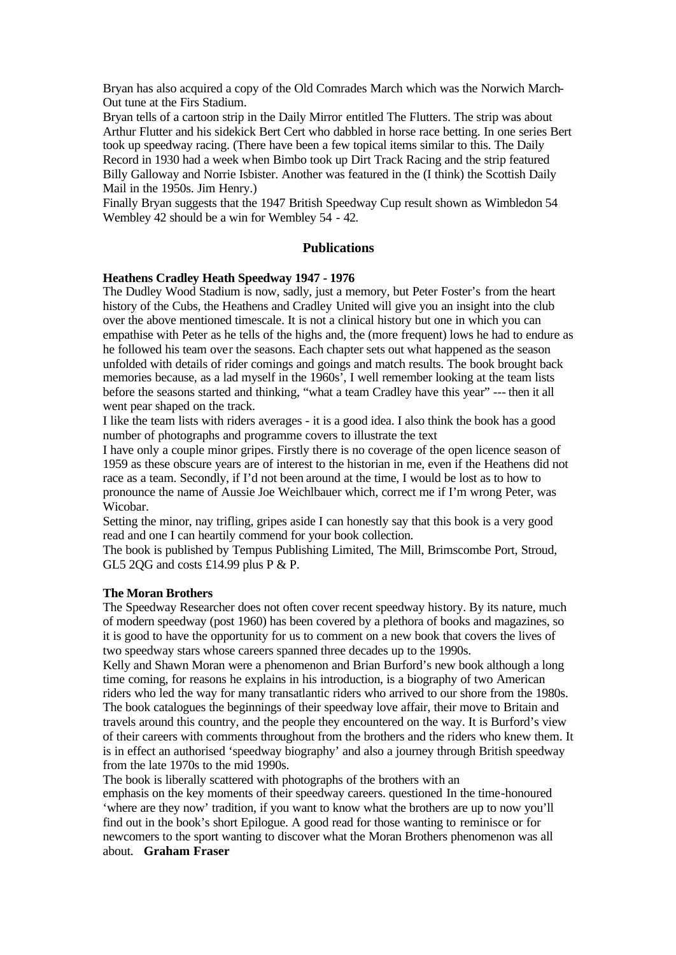Bryan has also acquired a copy of the Old Comrades March which was the Norwich March-Out tune at the Firs Stadium.

Bryan tells of a cartoon strip in the Daily Mirror entitled The Flutters. The strip was about Arthur Flutter and his sidekick Bert Cert who dabbled in horse race betting. In one series Bert took up speedway racing. (There have been a few topical items similar to this. The Daily Record in 1930 had a week when Bimbo took up Dirt Track Racing and the strip featured Billy Galloway and Norrie Isbister. Another was featured in the (I think) the Scottish Daily Mail in the 1950s. Jim Henry.)

Finally Bryan suggests that the 1947 British Speedway Cup result shown as Wimbledon 54 Wembley 42 should be a win for Wembley 54 - 42.

#### **Publications**

#### **Heathens Cradley Heath Speedway 1947 - 1976**

The Dudley Wood Stadium is now, sadly, just a memory, but Peter Foster's from the heart history of the Cubs, the Heathens and Cradley United will give you an insight into the club over the above mentioned timescale. It is not a clinical history but one in which you can empathise with Peter as he tells of the highs and, the (more frequent) lows he had to endure as he followed his team over the seasons. Each chapter sets out what happened as the season unfolded with details of rider comings and goings and match results. The book brought back memories because, as a lad myself in the 1960s', I well remember looking at the team lists before the seasons started and thinking, "what a team Cradley have this year" --- then it all went pear shaped on the track.

I like the team lists with riders averages - it is a good idea. I also think the book has a good number of photographs and programme covers to illustrate the text

I have only a couple minor gripes. Firstly there is no coverage of the open licence season of 1959 as these obscure years are of interest to the historian in me, even if the Heathens did not race as a team. Secondly, if I'd not been around at the time, I would be lost as to how to pronounce the name of Aussie Joe Weichlbauer which, correct me if I'm wrong Peter, was Wicobar.

Setting the minor, nay trifling, gripes aside I can honestly say that this book is a very good read and one I can heartily commend for your book collection.

The book is published by Tempus Publishing Limited, The Mill, Brimscombe Port, Stroud, GL5 2QG and costs £14.99 plus P & P.

#### **The Moran Brothers**

The Speedway Researcher does not often cover recent speedway history. By its nature, much of modern speedway (post 1960) has been covered by a plethora of books and magazines, so it is good to have the opportunity for us to comment on a new book that covers the lives of two speedway stars whose careers spanned three decades up to the 1990s.

Kelly and Shawn Moran were a phenomenon and Brian Burford's new book although a long time coming, for reasons he explains in his introduction, is a biography of two American riders who led the way for many transatlantic riders who arrived to our shore from the 1980s. The book catalogues the beginnings of their speedway love affair, their move to Britain and travels around this country, and the people they encountered on the way. It is Burford's view of their careers with comments throughout from the brothers and the riders who knew them. It is in effect an authorised 'speedway biography' and also a journey through British speedway from the late 1970s to the mid 1990s.

The book is liberally scattered with photographs of the brothers with an

emphasis on the key moments of their speedway careers. questioned In the time-honoured 'where are they now' tradition, if you want to know what the brothers are up to now you'll find out in the book's short Epilogue. A good read for those wanting to reminisce or for newcomers to the sport wanting to discover what the Moran Brothers phenomenon was all about. **Graham Fraser**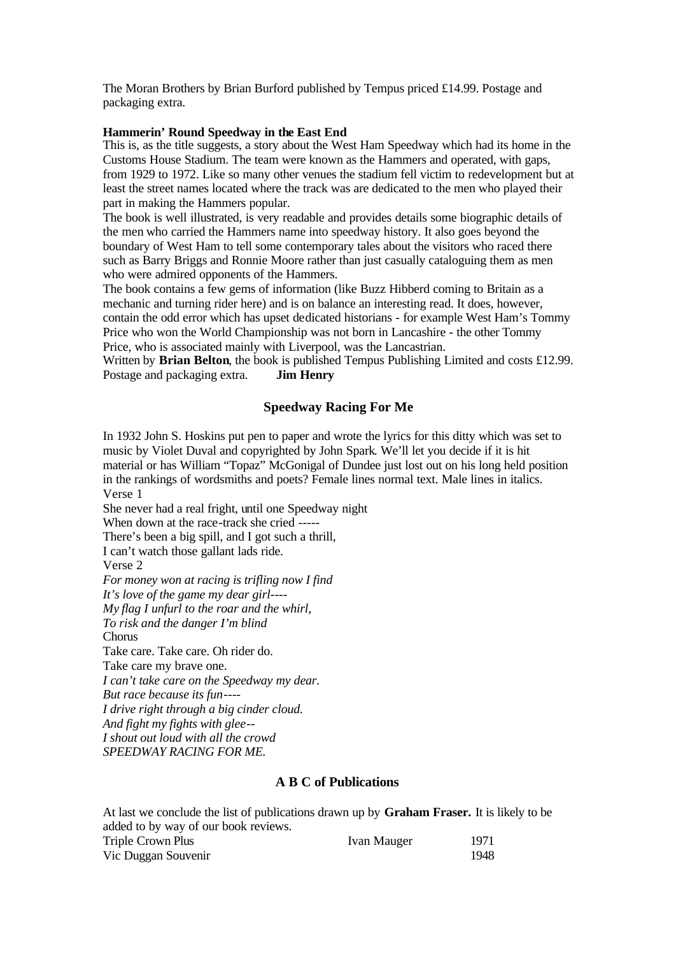The Moran Brothers by Brian Burford published by Tempus priced £14.99. Postage and packaging extra.

### **Hammerin' Round Speedway in the East End**

This is, as the title suggests, a story about the West Ham Speedway which had its home in the Customs House Stadium. The team were known as the Hammers and operated, with gaps, from 1929 to 1972. Like so many other venues the stadium fell victim to redevelopment but at least the street names located where the track was are dedicated to the men who played their part in making the Hammers popular.

The book is well illustrated, is very readable and provides details some biographic details of the men who carried the Hammers name into speedway history. It also goes beyond the boundary of West Ham to tell some contemporary tales about the visitors who raced there such as Barry Briggs and Ronnie Moore rather than just casually cataloguing them as men who were admired opponents of the Hammers.

The book contains a few gems of information (like Buzz Hibberd coming to Britain as a mechanic and turning rider here) and is on balance an interesting read. It does, however, contain the odd error which has upset dedicated historians - for example West Ham's Tommy Price who won the World Championship was not born in Lancashire - the other Tommy Price, who is associated mainly with Liverpool, was the Lancastrian.

Written by **Brian Belton**, the book is published Tempus Publishing Limited and costs £12.99. Postage and packaging extra. **Jim Henry**

# **Speedway Racing For Me**

In 1932 John S. Hoskins put pen to paper and wrote the lyrics for this ditty which was set to music by Violet Duval and copyrighted by John Spark. We'll let you decide if it is hit material or has William "Topaz" McGonigal of Dundee just lost out on his long held position in the rankings of wordsmiths and poets? Female lines normal text. Male lines in italics. Verse 1

She never had a real fright, until one Speedway night When down at the race-track she cried -----There's been a big spill, and I got such a thrill, I can't watch those gallant lads ride. Verse 2 *For money won at racing is trifling now I find It's love of the game my dear girl---- My flag I unfurl to the roar and the whirl, To risk and the danger I'm blind* **Chorus** Take care. Take care. Oh rider do. Take care my brave one. *I can't take care on the Speedway my dear. But race because its fun---- I drive right through a big cinder cloud. And fight my fights with glee-- I shout out loud with all the crowd SPEEDWAY RACING FOR ME.* 

### **A B C of Publications**

At last we conclude the list of publications drawn up by **Graham Fraser.** It is likely to be added to by way of our book reviews. Triple Crown Plus **Ivan Mauger** 1971 Vic Duggan Souvenir 1948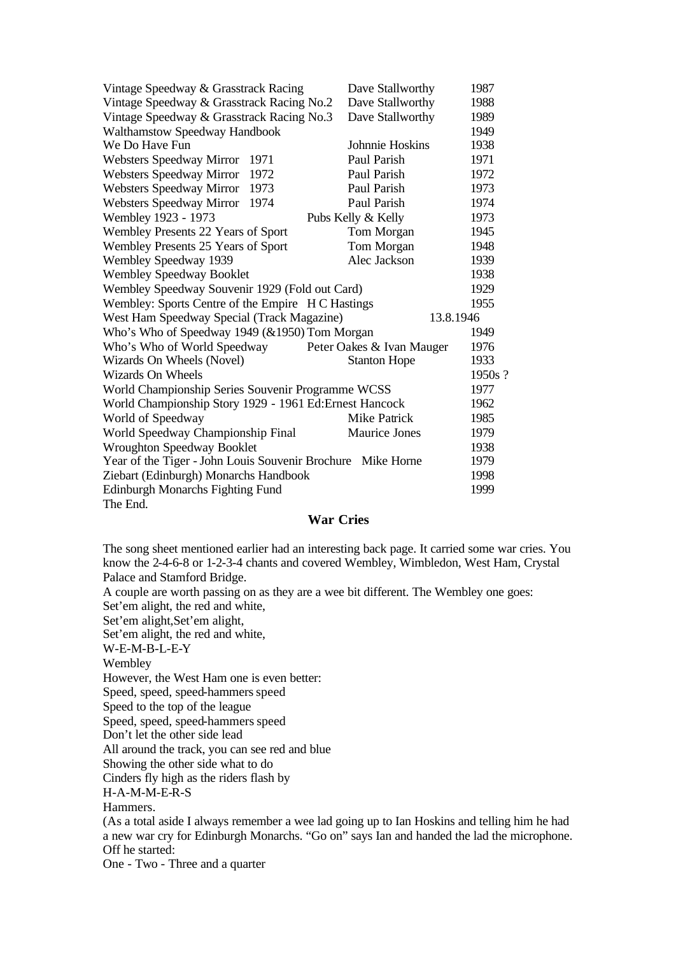| Vintage Speedway & Grasstrack Racing                        | Dave Stallworthy          |      |  |  |  |  |  |  |
|-------------------------------------------------------------|---------------------------|------|--|--|--|--|--|--|
| Vintage Speedway & Grasstrack Racing No.2                   | Dave Stallworthy          | 1988 |  |  |  |  |  |  |
| Vintage Speedway & Grasstrack Racing No.3                   | Dave Stallworthy          | 1989 |  |  |  |  |  |  |
| Walthamstow Speedway Handbook                               |                           | 1949 |  |  |  |  |  |  |
| We Do Have Fun                                              | Johnnie Hoskins           | 1938 |  |  |  |  |  |  |
| Websters Speedway Mirror<br>1971                            | Paul Parish               | 1971 |  |  |  |  |  |  |
| Websters Speedway Mirror<br>1972                            | Paul Parish               | 1972 |  |  |  |  |  |  |
| Websters Speedway Mirror<br>1973                            | Paul Parish               | 1973 |  |  |  |  |  |  |
| Websters Speedway Mirror<br>1974                            | Paul Parish               | 1974 |  |  |  |  |  |  |
| Wembley 1923 - 1973                                         | Pubs Kelly & Kelly        | 1973 |  |  |  |  |  |  |
| Wembley Presents 22 Years of Sport                          | Tom Morgan                | 1945 |  |  |  |  |  |  |
| Wembley Presents 25 Years of Sport                          | Tom Morgan                | 1948 |  |  |  |  |  |  |
| Wembley Speedway 1939                                       | Alec Jackson              | 1939 |  |  |  |  |  |  |
| <b>Wembley Speedway Booklet</b>                             |                           | 1938 |  |  |  |  |  |  |
| Wembley Speedway Souvenir 1929 (Fold out Card)              |                           |      |  |  |  |  |  |  |
| Wembley: Sports Centre of the Empire H C Hastings           |                           |      |  |  |  |  |  |  |
| West Ham Speedway Special (Track Magazine)<br>13.8.1946     |                           |      |  |  |  |  |  |  |
| Who's Who of Speedway 1949 (&1950) Tom Morgan               |                           | 1949 |  |  |  |  |  |  |
| Who's Who of World Speedway                                 | Peter Oakes & Ivan Mauger | 1976 |  |  |  |  |  |  |
| Wizards On Wheels (Novel)                                   | <b>Stanton Hope</b>       | 1933 |  |  |  |  |  |  |
| Wizards On Wheels                                           |                           |      |  |  |  |  |  |  |
| World Championship Series Souvenir Programme WCSS           |                           |      |  |  |  |  |  |  |
| World Championship Story 1929 - 1961 Ed: Ernest Hancock     |                           |      |  |  |  |  |  |  |
| World of Speedway                                           | Mike Patrick              | 1985 |  |  |  |  |  |  |
| World Speedway Championship Final                           | <b>Maurice Jones</b>      | 1979 |  |  |  |  |  |  |
| <b>Wroughton Speedway Booklet</b>                           |                           | 1938 |  |  |  |  |  |  |
| Year of the Tiger - John Louis Souvenir Brochure Mike Horne |                           |      |  |  |  |  |  |  |
| Ziebart (Edinburgh) Monarchs Handbook                       |                           |      |  |  |  |  |  |  |
| <b>Edinburgh Monarchs Fighting Fund</b>                     |                           | 1999 |  |  |  |  |  |  |
| The End.                                                    |                           |      |  |  |  |  |  |  |

# **War Cries**

The song sheet mentioned earlier had an interesting back page. It carried some war cries. You know the 2-4-6-8 or 1-2-3-4 chants and covered Wembley, Wimbledon, West Ham, Crystal Palace and Stamford Bridge.

A couple are worth passing on as they are a wee bit different. The Wembley one goes: Set'em alight, the red and white,

Set'em alight,Set'em alight,

Set'em alight, the red and white,

W-E-M-B-L-E-Y

Wembley

However, the West Ham one is even better:

Speed, speed-hammers speed

Speed to the top of the league

Speed, speed, speed-hammers speed

Don't let the other side lead

All around the track, you can see red and blue

Showing the other side what to do

Cinders fly high as the riders flash by

H-A-M-M-E-R-S

Hammers.

(As a total aside I always remember a wee lad going up to Ian Hoskins and telling him he had a new war cry for Edinburgh Monarchs. "Go on" says Ian and handed the lad the microphone. Off he started:

One - Two - Three and a quarter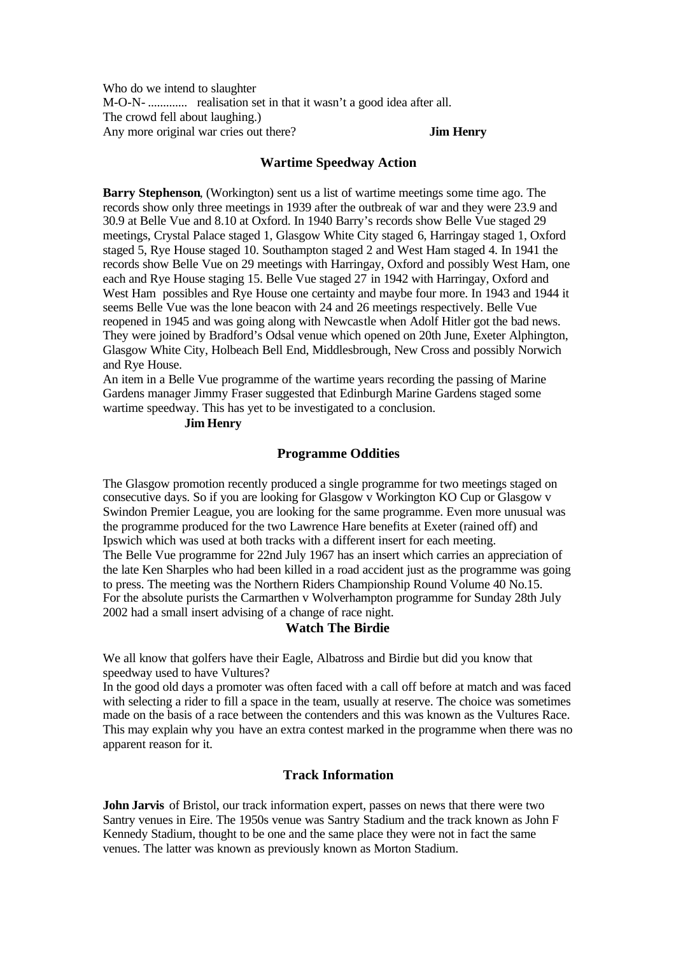Who do we intend to slaughter M-O-N- ............. realisation set in that it wasn't a good idea after all. The crowd fell about laughing.) Any more original war cries out there? **Jim Henry**

#### **Wartime Speedway Action**

**Barry Stephenson**, (Workington) sent us a list of wartime meetings some time ago. The records show only three meetings in 1939 after the outbreak of war and they were 23.9 and 30.9 at Belle Vue and 8.10 at Oxford. In 1940 Barry's records show Belle Vue staged 29 meetings, Crystal Palace staged 1, Glasgow White City staged 6, Harringay staged 1, Oxford staged 5, Rye House staged 10. Southampton staged 2 and West Ham staged 4. In 1941 the records show Belle Vue on 29 meetings with Harringay, Oxford and possibly West Ham, one each and Rye House staging 15. Belle Vue staged 27 in 1942 with Harringay, Oxford and West Ham possibles and Rye House one certainty and maybe four more. In 1943 and 1944 it seems Belle Vue was the lone beacon with 24 and 26 meetings respectively. Belle Vue reopened in 1945 and was going along with Newcastle when Adolf Hitler got the bad news. They were joined by Bradford's Odsal venue which opened on 20th June, Exeter Alphington, Glasgow White City, Holbeach Bell End, Middlesbrough, New Cross and possibly Norwich and Rye House.

An item in a Belle Vue programme of the wartime years recording the passing of Marine Gardens manager Jimmy Fraser suggested that Edinburgh Marine Gardens staged some wartime speedway. This has yet to be investigated to a conclusion.

### **Jim Henry**

# **Programme Oddities**

The Glasgow promotion recently produced a single programme for two meetings staged on consecutive days. So if you are looking for Glasgow v Workington KO Cup or Glasgow v Swindon Premier League, you are looking for the same programme. Even more unusual was the programme produced for the two Lawrence Hare benefits at Exeter (rained off) and Ipswich which was used at both tracks with a different insert for each meeting. The Belle Vue programme for 22nd July 1967 has an insert which carries an appreciation of the late Ken Sharples who had been killed in a road accident just as the programme was going to press. The meeting was the Northern Riders Championship Round Volume 40 No.15. For the absolute purists the Carmarthen v Wolverhampton programme for Sunday 28th July 2002 had a small insert advising of a change of race night.

### **Watch The Birdie**

We all know that golfers have their Eagle, Albatross and Birdie but did you know that speedway used to have Vultures?

In the good old days a promoter was often faced with a call off before at match and was faced with selecting a rider to fill a space in the team, usually at reserve. The choice was sometimes made on the basis of a race between the contenders and this was known as the Vultures Race. This may explain why you have an extra contest marked in the programme when there was no apparent reason for it.

# **Track Information**

**John Jarvis** of Bristol, our track information expert, passes on news that there were two Santry venues in Eire. The 1950s venue was Santry Stadium and the track known as John F Kennedy Stadium, thought to be one and the same place they were not in fact the same venues. The latter was known as previously known as Morton Stadium.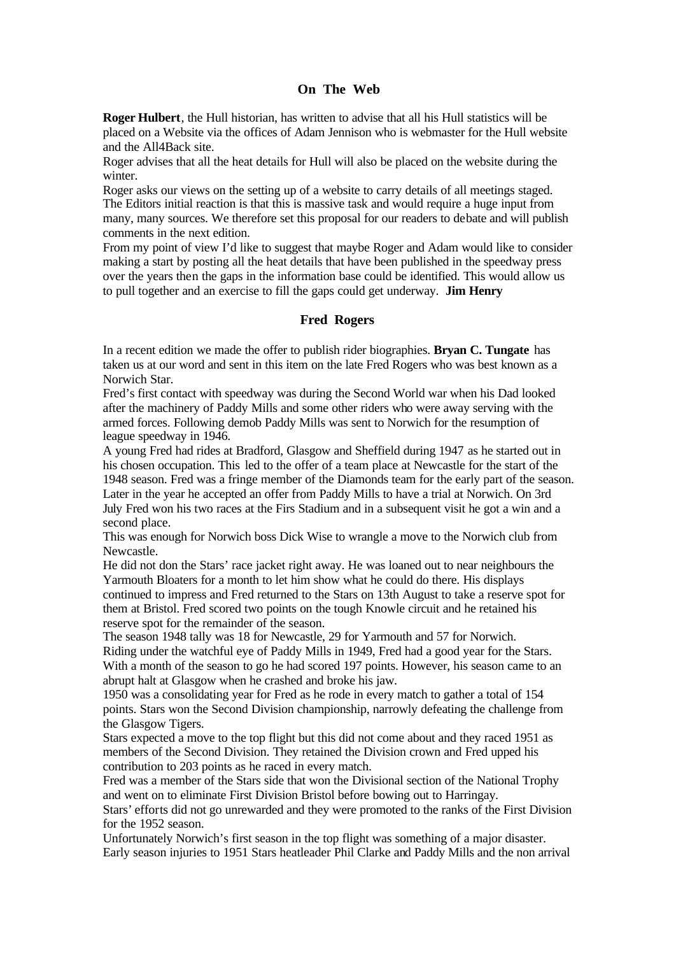# **On The Web**

**Roger Hulbert**, the Hull historian, has written to advise that all his Hull statistics will be placed on a Website via the offices of Adam Jennison who is webmaster for the Hull website and the All4Back site.

Roger advises that all the heat details for Hull will also be placed on the website during the winter.

Roger asks our views on the setting up of a website to carry details of all meetings staged. The Editors initial reaction is that this is massive task and would require a huge input from many, many sources. We therefore set this proposal for our readers to debate and will publish comments in the next edition.

From my point of view I'd like to suggest that maybe Roger and Adam would like to consider making a start by posting all the heat details that have been published in the speedway press over the years then the gaps in the information base could be identified. This would allow us to pull together and an exercise to fill the gaps could get underway. **Jim Henry**

#### **Fred Rogers**

In a recent edition we made the offer to publish rider biographies. **Bryan C. Tungate** has taken us at our word and sent in this item on the late Fred Rogers who was best known as a Norwich Star.

Fred's first contact with speedway was during the Second World war when his Dad looked after the machinery of Paddy Mills and some other riders who were away serving with the armed forces. Following demob Paddy Mills was sent to Norwich for the resumption of league speedway in 1946.

A young Fred had rides at Bradford, Glasgow and Sheffield during 1947 as he started out in his chosen occupation. This led to the offer of a team place at Newcastle for the start of the 1948 season. Fred was a fringe member of the Diamonds team for the early part of the season. Later in the year he accepted an offer from Paddy Mills to have a trial at Norwich. On 3rd July Fred won his two races at the Firs Stadium and in a subsequent visit he got a win and a second place.

This was enough for Norwich boss Dick Wise to wrangle a move to the Norwich club from Newcastle.

He did not don the Stars' race jacket right away. He was loaned out to near neighbours the Yarmouth Bloaters for a month to let him show what he could do there. His displays continued to impress and Fred returned to the Stars on 13th August to take a reserve spot for them at Bristol. Fred scored two points on the tough Knowle circuit and he retained his reserve spot for the remainder of the season.

The season 1948 tally was 18 for Newcastle, 29 for Yarmouth and 57 for Norwich. Riding under the watchful eye of Paddy Mills in 1949, Fred had a good year for the Stars. With a month of the season to go he had scored 197 points. However, his season came to an abrupt halt at Glasgow when he crashed and broke his jaw.

1950 was a consolidating year for Fred as he rode in every match to gather a total of 154 points. Stars won the Second Division championship, narrowly defeating the challenge from the Glasgow Tigers.

Stars expected a move to the top flight but this did not come about and they raced 1951 as members of the Second Division. They retained the Division crown and Fred upped his contribution to 203 points as he raced in every match.

Fred was a member of the Stars side that won the Divisional section of the National Trophy and went on to eliminate First Division Bristol before bowing out to Harringay.

Stars' efforts did not go unrewarded and they were promoted to the ranks of the First Division for the 1952 season.

Unfortunately Norwich's first season in the top flight was something of a major disaster. Early season injuries to 1951 Stars heatleader Phil Clarke and Paddy Mills and the non arrival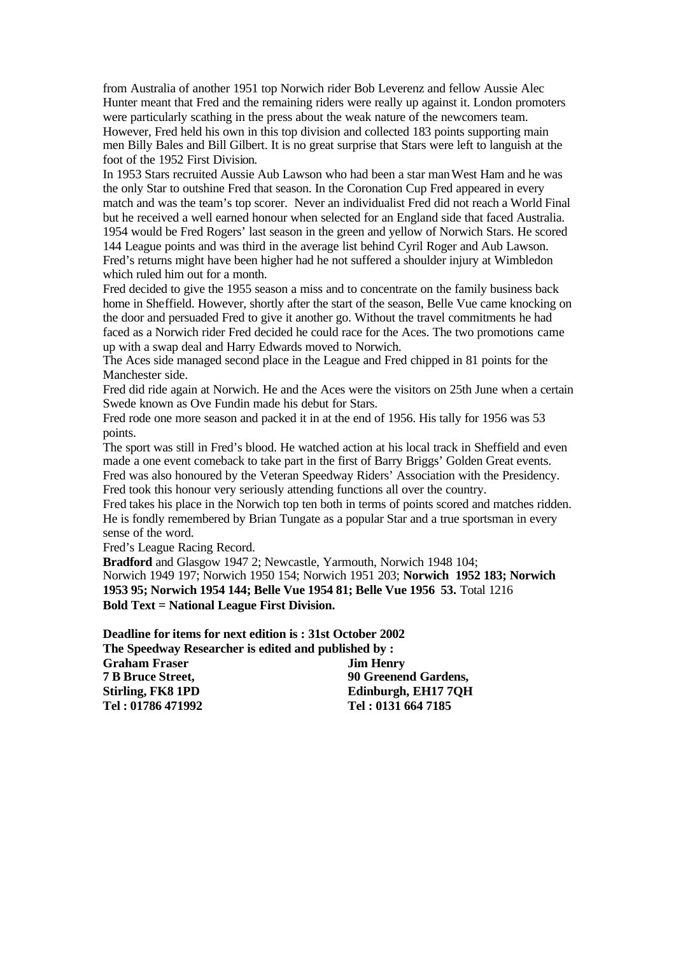from Australia of another 1951 top Norwich rider Bob Leverenz and fellow Aussie Alec Hunter meant that Fred and the remaining riders were really up against it. London promoters were particularly scathing in the press about the weak nature of the newcomers team. However, Fred held his own in this top division and collected 183 points supporting main men Billy Bales and Bill Gilbert. It is no great surprise that Stars were left to languish at the foot of the 1952 First Division.

In 1953 Stars recruited Aussie Aub Lawson who had been a star manWest Ham and he was the only Star to outshine Fred that season. In the Coronation Cup Fred appeared in every match and was the team's top scorer. Never an individualist Fred did not reach a World Final but he received a well earned honour when selected for an England side that faced Australia. 1954 would be Fred Rogers' last season in the green and yellow of Norwich Stars. He scored 144 League points and was third in the average list behind Cyril Roger and Aub Lawson. Fred's returns might have been higher had he not suffered a shoulder injury at Wimbledon which ruled him out for a month.

Fred decided to give the 1955 season a miss and to concentrate on the family business back home in Sheffield. However, shortly after the start of the season, Belle Vue came knocking on the door and persuaded Fred to give it another go. Without the travel commitments he had faced as a Norwich rider Fred decided he could race for the Aces. The two promotions came up with a swap deal and Harry Edwards moved to Norwich.

The Aces side managed second place in the League and Fred chipped in 81 points for the Manchester side.

Fred did ride again at Norwich. He and the Aces were the visitors on 25th June when a certain Swede known as Ove Fundin made his debut for Stars.

Fred rode one more season and packed it in at the end of 1956. His tally for 1956 was 53 points.

The sport was still in Fred's blood. He watched action at his local track in Sheffield and even made a one event comeback to take part in the first of Barry Briggs' Golden Great events. Fred was also honoured by the Veteran Speedway Riders' Association with the Presidency. Fred took this honour very seriously attending functions all over the country.

Fred takes his place in the Norwich top ten both in terms of points scored and matches ridden. He is fondly remembered by Brian Tungate as a popular Star and a true sportsman in every sense of the word.

Fred's League Racing Record.

**Bradford** and Glasgow 1947 2; Newcastle, Yarmouth, Norwich 1948 104; Norwich 1949 197; Norwich 1950 154; Norwich 1951 203; **Norwich 1952 183; Norwich 1953 95; Norwich 1954 144; Belle Vue 1954 81; Belle Vue 1956 53.** Total 1216 **Bold Text = National League First Division.**

**Deadline for items for next edition is : 31st October 2002 The Speedway Researcher is edited and published by : Graham Fraser Jim Henry 7 B Bruce Street, 90 Greenend Gardens, Stirling, FK8 1PD Edinburgh, EH17 7QH Tel : 01786 471992 Tel : 0131 664 7185**